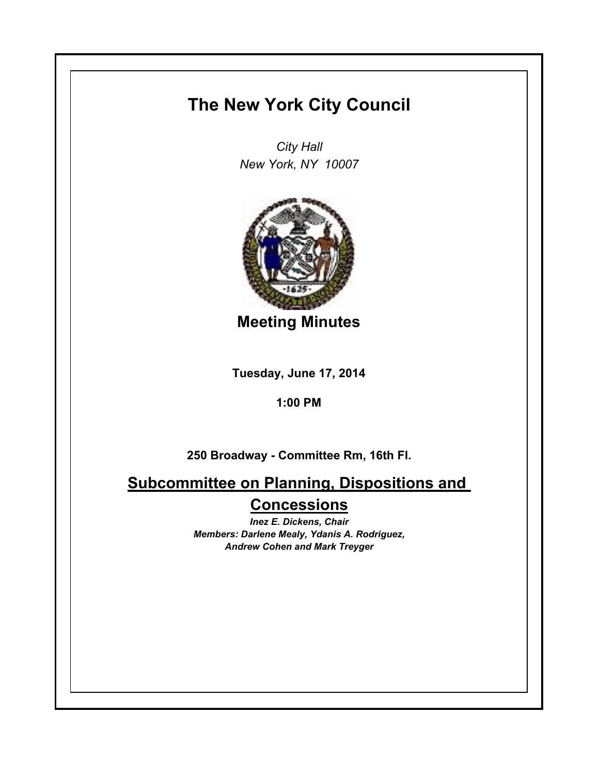## **The New York City Council**

*City Hall New York, NY 10007*



**Meeting Minutes**

**Tuesday, June 17, 2014**

**1:00 PM**

**250 Broadway - Committee Rm, 16th Fl.**

**Subcommittee on Planning, Dispositions and Concessions**

> *Inez E. Dickens, Chair Members: Darlene Mealy, Ydanis A. Rodriguez, Andrew Cohen and Mark Treyger*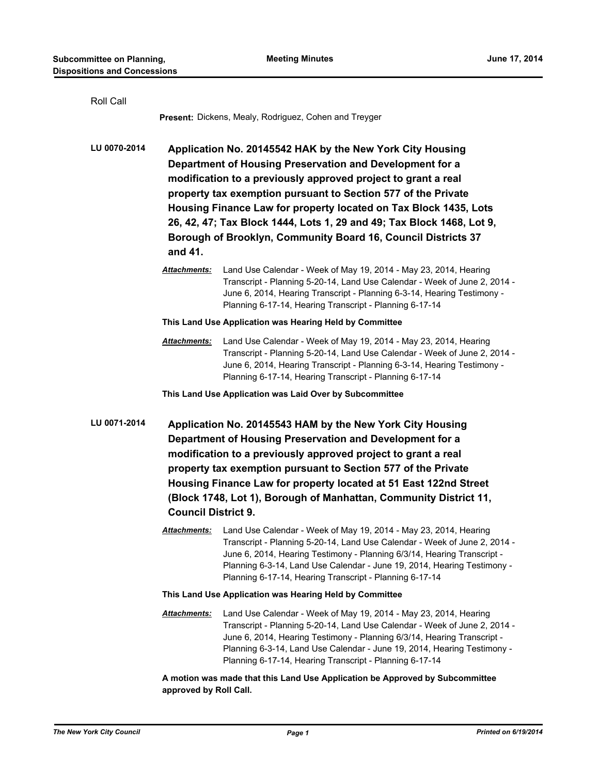| Roll Call    |                                                                                                                                                                                                                                                                                                                                                                                                                                                                                  | Present: Dickens, Mealy, Rodriguez, Cohen and Treyger                                                                                                                                                                                                                                                                                                          |  |
|--------------|----------------------------------------------------------------------------------------------------------------------------------------------------------------------------------------------------------------------------------------------------------------------------------------------------------------------------------------------------------------------------------------------------------------------------------------------------------------------------------|----------------------------------------------------------------------------------------------------------------------------------------------------------------------------------------------------------------------------------------------------------------------------------------------------------------------------------------------------------------|--|
| LU 0070-2014 | Application No. 20145542 HAK by the New York City Housing<br>Department of Housing Preservation and Development for a<br>modification to a previously approved project to grant a real<br>property tax exemption pursuant to Section 577 of the Private<br>Housing Finance Law for property located on Tax Block 1435, Lots<br>26, 42, 47; Tax Block 1444, Lots 1, 29 and 49; Tax Block 1468, Lot 9,<br>Borough of Brooklyn, Community Board 16, Council Districts 37<br>and 41. |                                                                                                                                                                                                                                                                                                                                                                |  |
|              | Attachments:                                                                                                                                                                                                                                                                                                                                                                                                                                                                     | Land Use Calendar - Week of May 19, 2014 - May 23, 2014, Hearing<br>Transcript - Planning 5-20-14, Land Use Calendar - Week of June 2, 2014 -<br>June 6, 2014, Hearing Transcript - Planning 6-3-14, Hearing Testimony -<br>Planning 6-17-14, Hearing Transcript - Planning 6-17-14                                                                            |  |
|              | This Land Use Application was Hearing Held by Committee                                                                                                                                                                                                                                                                                                                                                                                                                          |                                                                                                                                                                                                                                                                                                                                                                |  |
|              | Attachments:                                                                                                                                                                                                                                                                                                                                                                                                                                                                     | Land Use Calendar - Week of May 19, 2014 - May 23, 2014, Hearing<br>Transcript - Planning 5-20-14, Land Use Calendar - Week of June 2, 2014 -<br>June 6, 2014, Hearing Transcript - Planning 6-3-14, Hearing Testimony -<br>Planning 6-17-14, Hearing Transcript - Planning 6-17-14                                                                            |  |
|              |                                                                                                                                                                                                                                                                                                                                                                                                                                                                                  | This Land Use Application was Laid Over by Subcommittee                                                                                                                                                                                                                                                                                                        |  |
| LU 0071-2014 | Application No. 20145543 HAM by the New York City Housing<br>Department of Housing Preservation and Development for a<br>modification to a previously approved project to grant a real<br>property tax exemption pursuant to Section 577 of the Private<br>Housing Finance Law for property located at 51 East 122nd Street<br>(Block 1748, Lot 1), Borough of Manhattan, Community District 11,<br><b>Council District 9.</b>                                                   |                                                                                                                                                                                                                                                                                                                                                                |  |
|              | Attachments:                                                                                                                                                                                                                                                                                                                                                                                                                                                                     | Land Use Calendar - Week of May 19, 2014 - May 23, 2014, Hearing<br>Transcript - Planning 5-20-14, Land Use Calendar - Week of June 2, 2014 -<br>June 6, 2014, Hearing Testimony - Planning 6/3/14, Hearing Transcript -<br>Planning 6-3-14, Land Use Calendar - June 19, 2014, Hearing Testimony -<br>Planning 6-17-14, Hearing Transcript - Planning 6-17-14 |  |
|              | This Land Use Application was Hearing Held by Committee                                                                                                                                                                                                                                                                                                                                                                                                                          |                                                                                                                                                                                                                                                                                                                                                                |  |
|              | Attachments:                                                                                                                                                                                                                                                                                                                                                                                                                                                                     | Land Use Calendar - Week of May 19, 2014 - May 23, 2014, Hearing<br>Transcript - Planning 5-20-14, Land Use Calendar - Week of June 2, 2014 -<br>June 6, 2014, Hearing Testimony - Planning 6/3/14, Hearing Transcript -<br>Planning 6-3-14, Land Use Calendar - June 19, 2014, Hearing Testimony -<br>Planning 6-17-14, Hearing Transcript - Planning 6-17-14 |  |
|              | A motion was made that this Land Use Application be Approved by Subcommittee                                                                                                                                                                                                                                                                                                                                                                                                     |                                                                                                                                                                                                                                                                                                                                                                |  |

**approved by Roll Call.**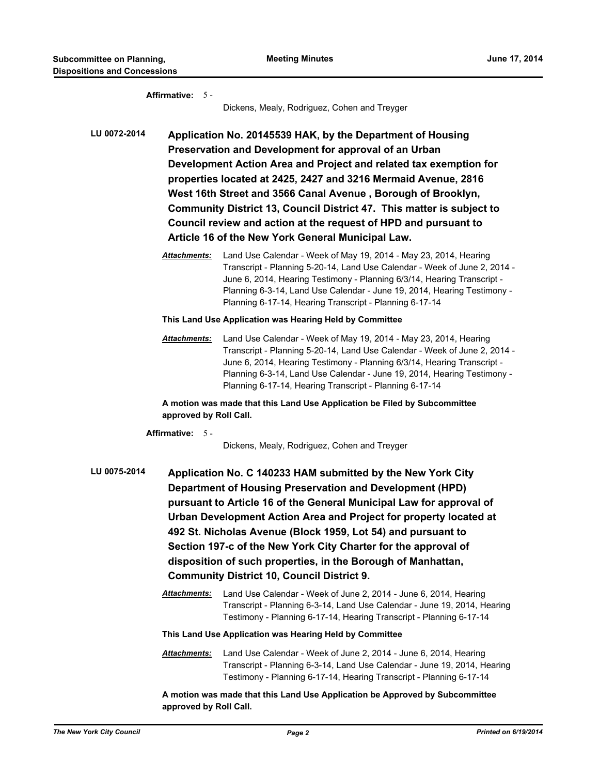|              | Affirmative: 5 -       | Dickens, Mealy, Rodriguez, Cohen and Treyger                                                                                                                                                                                                                                                                                                                                                                                                                                                                                |
|--------------|------------------------|-----------------------------------------------------------------------------------------------------------------------------------------------------------------------------------------------------------------------------------------------------------------------------------------------------------------------------------------------------------------------------------------------------------------------------------------------------------------------------------------------------------------------------|
| LU 0072-2014 |                        | Application No. 20145539 HAK, by the Department of Housing<br>Preservation and Development for approval of an Urban<br>Development Action Area and Project and related tax exemption for<br>properties located at 2425, 2427 and 3216 Mermaid Avenue, 2816<br>West 16th Street and 3566 Canal Avenue, Borough of Brooklyn,<br>Community District 13, Council District 47. This matter is subject to<br>Council review and action at the request of HPD and pursuant to<br>Article 16 of the New York General Municipal Law. |
|              | Attachments:           | Land Use Calendar - Week of May 19, 2014 - May 23, 2014, Hearing<br>Transcript - Planning 5-20-14, Land Use Calendar - Week of June 2, 2014 -<br>June 6, 2014, Hearing Testimony - Planning 6/3/14, Hearing Transcript -<br>Planning 6-3-14, Land Use Calendar - June 19, 2014, Hearing Testimony -<br>Planning 6-17-14, Hearing Transcript - Planning 6-17-14                                                                                                                                                              |
|              |                        | This Land Use Application was Hearing Held by Committee                                                                                                                                                                                                                                                                                                                                                                                                                                                                     |
|              | Attachments:           | Land Use Calendar - Week of May 19, 2014 - May 23, 2014, Hearing<br>Transcript - Planning 5-20-14, Land Use Calendar - Week of June 2, 2014 -<br>June 6, 2014, Hearing Testimony - Planning 6/3/14, Hearing Transcript -<br>Planning 6-3-14, Land Use Calendar - June 19, 2014, Hearing Testimony -<br>Planning 6-17-14, Hearing Transcript - Planning 6-17-14                                                                                                                                                              |
|              | approved by Roll Call. | A motion was made that this Land Use Application be Filed by Subcommittee                                                                                                                                                                                                                                                                                                                                                                                                                                                   |
|              | Affirmative: 5 -       | Dickens, Mealy, Rodriguez, Cohen and Treyger                                                                                                                                                                                                                                                                                                                                                                                                                                                                                |
| LU 0075-2014 |                        | Application No. C 140233 HAM submitted by the New York City<br>Department of Housing Preservation and Development (HPD)<br>pursuant to Article 16 of the General Municipal Law for approval of<br>Urban Development Action Area and Project for property located at<br>492 St. Nicholas Avenue (Block 1959, Lot 54) and pursuant to<br>Section 197-c of the New York City Charter for the approval of<br>disposition of such properties, in the Borough of Manhattan,<br><b>Community District 10, Council District 9.</b>  |
|              | <b>Attachments:</b>    | Land Use Calendar - Week of June 2, 2014 - June 6, 2014, Hearing<br>Transcript - Planning 6-3-14, Land Use Calendar - June 19, 2014, Hearing<br>Testimony - Planning 6-17-14, Hearing Transcript - Planning 6-17-14                                                                                                                                                                                                                                                                                                         |
|              |                        | This Land Use Application was Hearing Held by Committee                                                                                                                                                                                                                                                                                                                                                                                                                                                                     |
|              | Attachments:           | Land Use Calendar - Week of June 2, 2014 - June 6, 2014, Hearing<br>Transcript - Planning 6-3-14, Land Use Calendar - June 19, 2014, Hearing<br>Testimony - Planning 6-17-14, Hearing Transcript - Planning 6-17-14                                                                                                                                                                                                                                                                                                         |
|              |                        | A motion was made that this Land Use Application be Approved by Subcommittee                                                                                                                                                                                                                                                                                                                                                                                                                                                |

**approved by Roll Call.**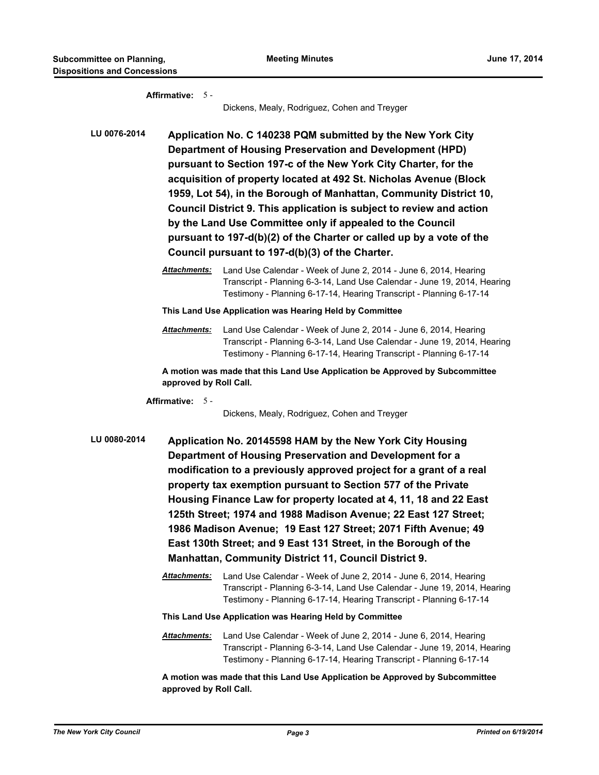|              | Affirmative: $5 -$     | Dickens, Mealy, Rodriguez, Cohen and Treyger                                                                                                                                                                                                                                                                                                                                                                                                                                                                                                                                                               |
|--------------|------------------------|------------------------------------------------------------------------------------------------------------------------------------------------------------------------------------------------------------------------------------------------------------------------------------------------------------------------------------------------------------------------------------------------------------------------------------------------------------------------------------------------------------------------------------------------------------------------------------------------------------|
| LU 0076-2014 |                        | Application No. C 140238 PQM submitted by the New York City<br>Department of Housing Preservation and Development (HPD)<br>pursuant to Section 197-c of the New York City Charter, for the<br>acquisition of property located at 492 St. Nicholas Avenue (Block<br>1959, Lot 54), in the Borough of Manhattan, Community District 10,<br>Council District 9. This application is subject to review and action<br>by the Land Use Committee only if appealed to the Council<br>pursuant to 197-d(b)(2) of the Charter or called up by a vote of the<br>Council pursuant to 197-d(b)(3) of the Charter.      |
|              | Attachments:           | Land Use Calendar - Week of June 2, 2014 - June 6, 2014, Hearing<br>Transcript - Planning 6-3-14, Land Use Calendar - June 19, 2014, Hearing<br>Testimony - Planning 6-17-14, Hearing Transcript - Planning 6-17-14                                                                                                                                                                                                                                                                                                                                                                                        |
|              |                        | This Land Use Application was Hearing Held by Committee                                                                                                                                                                                                                                                                                                                                                                                                                                                                                                                                                    |
|              | Attachments:           | Land Use Calendar - Week of June 2, 2014 - June 6, 2014, Hearing<br>Transcript - Planning 6-3-14, Land Use Calendar - June 19, 2014, Hearing<br>Testimony - Planning 6-17-14, Hearing Transcript - Planning 6-17-14                                                                                                                                                                                                                                                                                                                                                                                        |
|              | approved by Roll Call. | A motion was made that this Land Use Application be Approved by Subcommittee                                                                                                                                                                                                                                                                                                                                                                                                                                                                                                                               |
|              | Affirmative: 5 -       |                                                                                                                                                                                                                                                                                                                                                                                                                                                                                                                                                                                                            |
|              |                        | Dickens, Mealy, Rodriguez, Cohen and Treyger                                                                                                                                                                                                                                                                                                                                                                                                                                                                                                                                                               |
| LU 0080-2014 |                        | Application No. 20145598 HAM by the New York City Housing<br>Department of Housing Preservation and Development for a<br>modification to a previously approved project for a grant of a real<br>property tax exemption pursuant to Section 577 of the Private<br>Housing Finance Law for property located at 4, 11, 18 and 22 East<br>125th Street; 1974 and 1988 Madison Avenue; 22 East 127 Street;<br>1986 Madison Avenue; 19 East 127 Street; 2071 Fifth Avenue; 49<br>East 130th Street; and 9 East 131 Street, in the Borough of the<br><b>Manhattan, Community District 11, Council District 9.</b> |
|              | Attachments:           | Land Use Calendar - Week of June 2, 2014 - June 6, 2014, Hearing<br>Transcript - Planning 6-3-14, Land Use Calendar - June 19, 2014, Hearing<br>Testimony - Planning 6-17-14, Hearing Transcript - Planning 6-17-14                                                                                                                                                                                                                                                                                                                                                                                        |
|              |                        | This Land Use Application was Hearing Held by Committee                                                                                                                                                                                                                                                                                                                                                                                                                                                                                                                                                    |
|              | Attachments:           | Land Use Calendar - Week of June 2, 2014 - June 6, 2014, Hearing<br>Transcript - Planning 6-3-14, Land Use Calendar - June 19, 2014, Hearing<br>Testimony - Planning 6-17-14, Hearing Transcript - Planning 6-17-14                                                                                                                                                                                                                                                                                                                                                                                        |
|              | approved by Roll Call. | A motion was made that this Land Use Application be Approved by Subcommittee                                                                                                                                                                                                                                                                                                                                                                                                                                                                                                                               |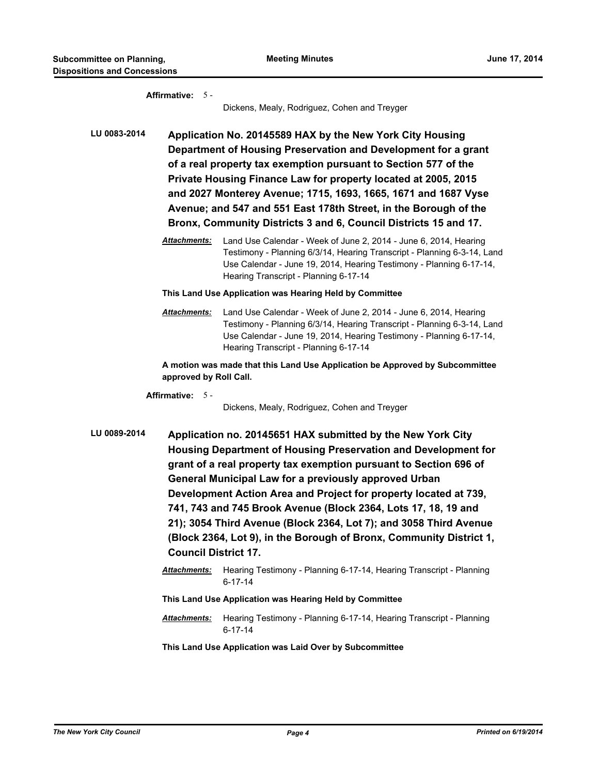|              | Affirmative: 5 -            | Dickens, Mealy, Rodriguez, Cohen and Treyger                                                                                                                                                                                                                                                                                                                                                                                                                                                                                                         |
|--------------|-----------------------------|------------------------------------------------------------------------------------------------------------------------------------------------------------------------------------------------------------------------------------------------------------------------------------------------------------------------------------------------------------------------------------------------------------------------------------------------------------------------------------------------------------------------------------------------------|
|              |                             |                                                                                                                                                                                                                                                                                                                                                                                                                                                                                                                                                      |
| LU 0083-2014 |                             | Application No. 20145589 HAX by the New York City Housing<br>Department of Housing Preservation and Development for a grant<br>of a real property tax exemption pursuant to Section 577 of the<br>Private Housing Finance Law for property located at 2005, 2015<br>and 2027 Monterey Avenue; 1715, 1693, 1665, 1671 and 1687 Vyse<br>Avenue; and 547 and 551 East 178th Street, in the Borough of the<br>Bronx, Community Districts 3 and 6, Council Districts 15 and 17.                                                                           |
|              | <b>Attachments:</b>         | Land Use Calendar - Week of June 2, 2014 - June 6, 2014, Hearing<br>Testimony - Planning 6/3/14, Hearing Transcript - Planning 6-3-14, Land<br>Use Calendar - June 19, 2014, Hearing Testimony - Planning 6-17-14,<br>Hearing Transcript - Planning 6-17-14                                                                                                                                                                                                                                                                                          |
|              |                             | This Land Use Application was Hearing Held by Committee                                                                                                                                                                                                                                                                                                                                                                                                                                                                                              |
|              | Attachments:                | Land Use Calendar - Week of June 2, 2014 - June 6, 2014, Hearing<br>Testimony - Planning 6/3/14, Hearing Transcript - Planning 6-3-14, Land<br>Use Calendar - June 19, 2014, Hearing Testimony - Planning 6-17-14,<br>Hearing Transcript - Planning 6-17-14                                                                                                                                                                                                                                                                                          |
|              | approved by Roll Call.      | A motion was made that this Land Use Application be Approved by Subcommittee                                                                                                                                                                                                                                                                                                                                                                                                                                                                         |
|              | Affirmative: 5 -            | Dickens, Mealy, Rodriguez, Cohen and Treyger                                                                                                                                                                                                                                                                                                                                                                                                                                                                                                         |
| LU 0089-2014 | <b>Council District 17.</b> | Application no. 20145651 HAX submitted by the New York City<br>Housing Department of Housing Preservation and Development for<br>grant of a real property tax exemption pursuant to Section 696 of<br><b>General Municipal Law for a previously approved Urban</b><br>Development Action Area and Project for property located at 739,<br>741, 743 and 745 Brook Avenue (Block 2364, Lots 17, 18, 19 and<br>21); 3054 Third Avenue (Block 2364, Lot 7); and 3058 Third Avenue<br>(Block 2364, Lot 9), in the Borough of Bronx, Community District 1, |
|              | <b>Attachments:</b>         | Hearing Testimony - Planning 6-17-14, Hearing Transcript - Planning<br>$6 - 17 - 14$                                                                                                                                                                                                                                                                                                                                                                                                                                                                 |
|              |                             | This Land Use Application was Hearing Held by Committee                                                                                                                                                                                                                                                                                                                                                                                                                                                                                              |
|              | <b>Attachments:</b>         | Hearing Testimony - Planning 6-17-14, Hearing Transcript - Planning<br>$6 - 17 - 14$                                                                                                                                                                                                                                                                                                                                                                                                                                                                 |

**This Land Use Application was Laid Over by Subcommittee**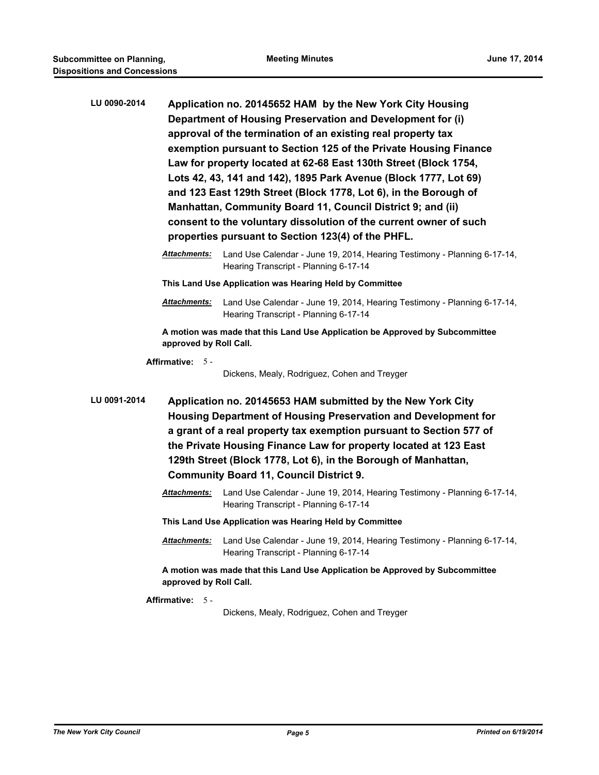| LU 0090-2014 | Application no. 20145652 HAM by the New York City Housing<br>Department of Housing Preservation and Development for (i)<br>approval of the termination of an existing real property tax<br>exemption pursuant to Section 125 of the Private Housing Finance<br>Law for property located at 62-68 East 130th Street (Block 1754,<br>Lots 42, 43, 141 and 142), 1895 Park Avenue (Block 1777, Lot 69)<br>and 123 East 129th Street (Block 1778, Lot 6), in the Borough of<br>Manhattan, Community Board 11, Council District 9; and (ii)<br>consent to the voluntary dissolution of the current owner of such |                                                                                                                                                                                                                                                                                                                                                                                                     |  |
|--------------|-------------------------------------------------------------------------------------------------------------------------------------------------------------------------------------------------------------------------------------------------------------------------------------------------------------------------------------------------------------------------------------------------------------------------------------------------------------------------------------------------------------------------------------------------------------------------------------------------------------|-----------------------------------------------------------------------------------------------------------------------------------------------------------------------------------------------------------------------------------------------------------------------------------------------------------------------------------------------------------------------------------------------------|--|
|              |                                                                                                                                                                                                                                                                                                                                                                                                                                                                                                                                                                                                             | properties pursuant to Section 123(4) of the PHFL.                                                                                                                                                                                                                                                                                                                                                  |  |
|              | Attachments:                                                                                                                                                                                                                                                                                                                                                                                                                                                                                                                                                                                                | Land Use Calendar - June 19, 2014, Hearing Testimony - Planning 6-17-14,<br>Hearing Transcript - Planning 6-17-14                                                                                                                                                                                                                                                                                   |  |
|              | This Land Use Application was Hearing Held by Committee                                                                                                                                                                                                                                                                                                                                                                                                                                                                                                                                                     |                                                                                                                                                                                                                                                                                                                                                                                                     |  |
|              | Attachments:                                                                                                                                                                                                                                                                                                                                                                                                                                                                                                                                                                                                | Land Use Calendar - June 19, 2014, Hearing Testimony - Planning 6-17-14,<br>Hearing Transcript - Planning 6-17-14                                                                                                                                                                                                                                                                                   |  |
|              | A motion was made that this Land Use Application be Approved by Subcommittee<br>approved by Roll Call.                                                                                                                                                                                                                                                                                                                                                                                                                                                                                                      |                                                                                                                                                                                                                                                                                                                                                                                                     |  |
|              | Affirmative: 5-                                                                                                                                                                                                                                                                                                                                                                                                                                                                                                                                                                                             | Dickens, Mealy, Rodriguez, Cohen and Treyger                                                                                                                                                                                                                                                                                                                                                        |  |
| LU 0091-2014 |                                                                                                                                                                                                                                                                                                                                                                                                                                                                                                                                                                                                             | Application no. 20145653 HAM submitted by the New York City<br><b>Housing Department of Housing Preservation and Development for</b><br>a grant of a real property tax exemption pursuant to Section 577 of<br>the Private Housing Finance Law for property located at 123 East<br>129th Street (Block 1778, Lot 6), in the Borough of Manhattan,<br><b>Community Board 11, Council District 9.</b> |  |
|              | Attachments:                                                                                                                                                                                                                                                                                                                                                                                                                                                                                                                                                                                                | Land Use Calendar - June 19, 2014, Hearing Testimony - Planning 6-17-14,<br>Hearing Transcript - Planning 6-17-14                                                                                                                                                                                                                                                                                   |  |
|              | This Land Use Application was Hearing Held by Committee                                                                                                                                                                                                                                                                                                                                                                                                                                                                                                                                                     |                                                                                                                                                                                                                                                                                                                                                                                                     |  |
|              | Attachments:                                                                                                                                                                                                                                                                                                                                                                                                                                                                                                                                                                                                | Land Use Calendar - June 19, 2014, Hearing Testimony - Planning 6-17-14,<br>Hearing Transcript - Planning 6-17-14                                                                                                                                                                                                                                                                                   |  |
|              | approved by Roll Call.                                                                                                                                                                                                                                                                                                                                                                                                                                                                                                                                                                                      | A motion was made that this Land Use Application be Approved by Subcommittee                                                                                                                                                                                                                                                                                                                        |  |
|              | Affirmative: 5-                                                                                                                                                                                                                                                                                                                                                                                                                                                                                                                                                                                             | Dickens, Mealy, Rodriguez, Cohen and Treyger                                                                                                                                                                                                                                                                                                                                                        |  |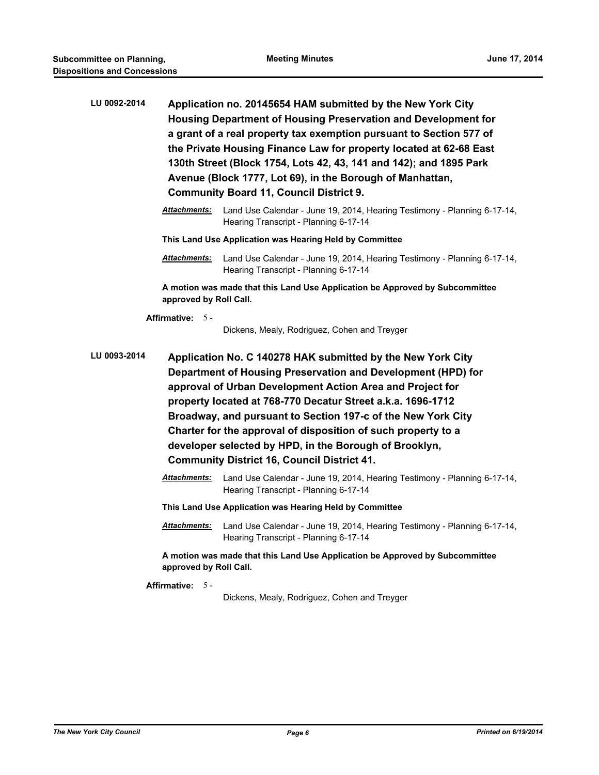| LU 0092-2014 | Attachments:                                       | Application no. 20145654 HAM submitted by the New York City<br>Housing Department of Housing Preservation and Development for<br>a grant of a real property tax exemption pursuant to Section 577 of<br>the Private Housing Finance Law for property located at 62-68 East<br>130th Street (Block 1754, Lots 42, 43, 141 and 142); and 1895 Park<br>Avenue (Block 1777, Lot 69), in the Borough of Manhattan,<br><b>Community Board 11, Council District 9.</b><br>Land Use Calendar - June 19, 2014, Hearing Testimony - Planning 6-17-14, |
|--------------|----------------------------------------------------|---------------------------------------------------------------------------------------------------------------------------------------------------------------------------------------------------------------------------------------------------------------------------------------------------------------------------------------------------------------------------------------------------------------------------------------------------------------------------------------------------------------------------------------------|
|              |                                                    | Hearing Transcript - Planning 6-17-14<br>This Land Use Application was Hearing Held by Committee                                                                                                                                                                                                                                                                                                                                                                                                                                            |
|              | <b>Attachments:</b>                                | Land Use Calendar - June 19, 2014, Hearing Testimony - Planning 6-17-14,<br>Hearing Transcript - Planning 6-17-14                                                                                                                                                                                                                                                                                                                                                                                                                           |
|              | approved by Roll Call.                             | A motion was made that this Land Use Application be Approved by Subcommittee                                                                                                                                                                                                                                                                                                                                                                                                                                                                |
|              | <b>Affirmative: 5 -</b>                            | Dickens, Mealy, Rodriguez, Cohen and Treyger                                                                                                                                                                                                                                                                                                                                                                                                                                                                                                |
| LU 0093-2014 |                                                    | Application No. C 140278 HAK submitted by the New York City<br>Department of Housing Preservation and Development (HPD) for<br>approval of Urban Development Action Area and Project for<br>property located at 768-770 Decatur Street a.k.a. 1696-1712<br>Broadway, and pursuant to Section 197-c of the New York City<br>Charter for the approval of disposition of such property to a<br>developer selected by HPD, in the Borough of Brooklyn,                                                                                          |
|              | <b>Community District 16, Council District 41.</b> |                                                                                                                                                                                                                                                                                                                                                                                                                                                                                                                                             |
|              | Attachments:                                       | Land Use Calendar - June 19, 2014, Hearing Testimony - Planning 6-17-14,<br>Hearing Transcript - Planning 6-17-14                                                                                                                                                                                                                                                                                                                                                                                                                           |
|              |                                                    | This Land Use Application was Hearing Held by Committee                                                                                                                                                                                                                                                                                                                                                                                                                                                                                     |
|              | <b>Attachments:</b>                                | Land Use Calendar - June 19, 2014, Hearing Testimony - Planning 6-17-14,<br>Hearing Transcript - Planning 6-17-14                                                                                                                                                                                                                                                                                                                                                                                                                           |
|              | approved by Roll Call.                             | A motion was made that this Land Use Application be Approved by Subcommittee                                                                                                                                                                                                                                                                                                                                                                                                                                                                |
|              |                                                    |                                                                                                                                                                                                                                                                                                                                                                                                                                                                                                                                             |

**Affirmative:** 5 -

Dickens, Mealy, Rodriguez, Cohen and Treyger